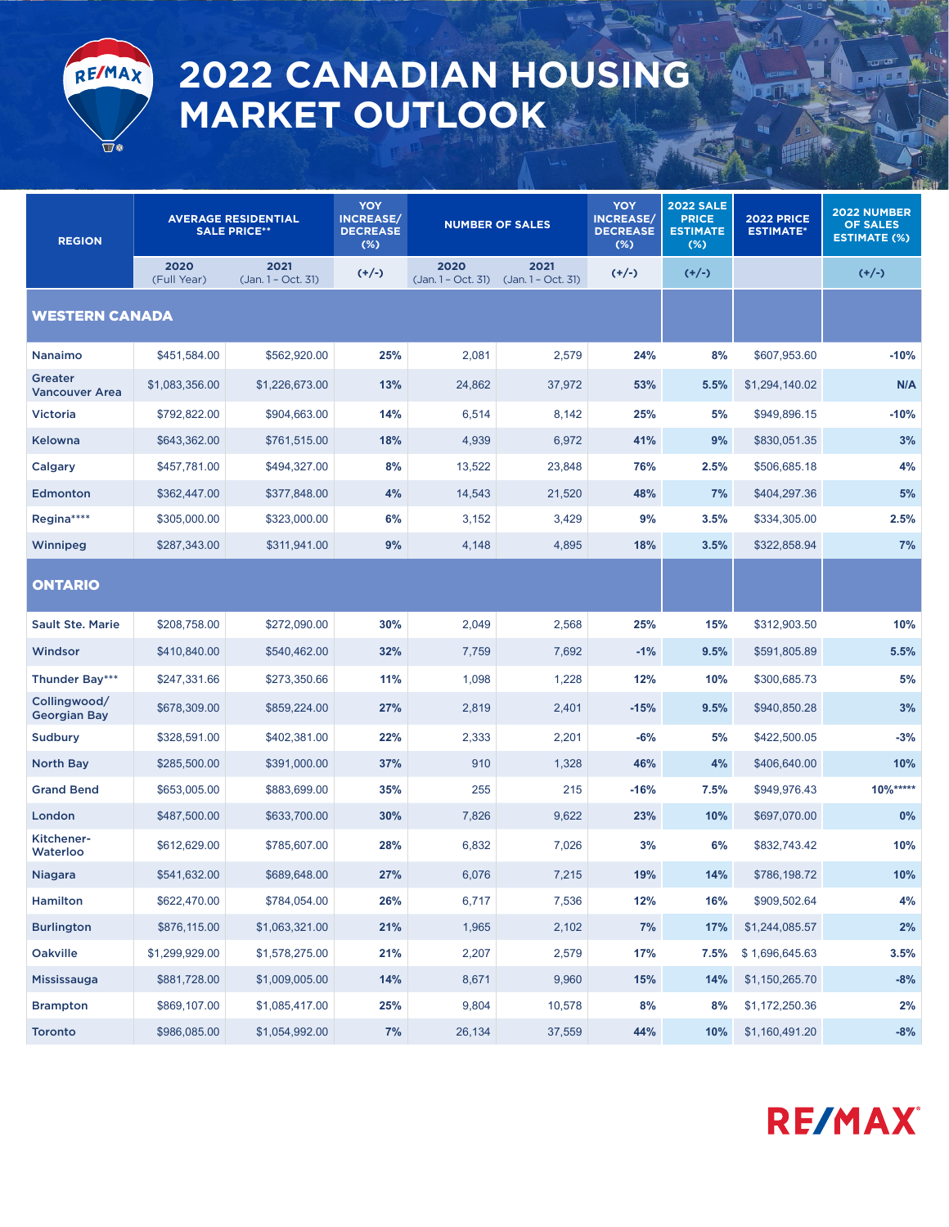

## **2022 CANADIAN HOUSING MARKET OUTLOOK**

| <b>REGION</b>                       | <b>AVERAGE RESIDENTIAL</b><br><b>SALE PRICE**</b> |                            | <b>YOY</b><br><b>INCREASE/</b><br><b>DECREASE</b><br>(%) | <b>NUMBER OF SALES</b>      |                            | <b>YOY</b><br><b>INCREASE/</b><br><b>DECREASE</b><br>$(\%)$ | <b>2022 SALE</b><br><b>PRICE</b><br><b>ESTIMATE</b><br>$(\%)$ | <b>2022 PRICE</b><br><b>ESTIMATE*</b> | 2022 NUMBER<br><b>OF SALES</b><br><b>ESTIMATE (%)</b> |
|-------------------------------------|---------------------------------------------------|----------------------------|----------------------------------------------------------|-----------------------------|----------------------------|-------------------------------------------------------------|---------------------------------------------------------------|---------------------------------------|-------------------------------------------------------|
|                                     | 2020<br>(Full Year)                               | 2021<br>(Jan. 1 - Oct. 31) | $(+/-)$                                                  | 2020<br>$(Jan.1 - Oct. 31)$ | 2021<br>(Jan. 1 - Oct. 31) | $(+/-)$                                                     | $(+/-)$                                                       |                                       | $(+/-)$                                               |
| <b>WESTERN CANADA</b>               |                                                   |                            |                                                          |                             |                            |                                                             |                                                               |                                       |                                                       |
| <b>Nanaimo</b>                      | \$451,584.00                                      | \$562,920.00               | 25%                                                      | 2,081                       | 2,579                      | 24%                                                         | 8%                                                            | \$607,953.60                          | $-10%$                                                |
| Greater<br><b>Vancouver Area</b>    | \$1,083,356.00                                    | \$1,226,673.00             | 13%                                                      | 24,862                      | 37,972                     | 53%                                                         | 5.5%                                                          | \$1,294,140.02                        | N/A                                                   |
| <b>Victoria</b>                     | \$792,822.00                                      | \$904,663.00               | 14%                                                      | 6,514                       | 8,142                      | 25%                                                         | 5%                                                            | \$949,896.15                          | $-10%$                                                |
| Kelowna                             | \$643,362.00                                      | \$761,515.00               | 18%                                                      | 4,939                       | 6,972                      | 41%                                                         | 9%                                                            | \$830,051.35                          | 3%                                                    |
| Calgary                             | \$457,781.00                                      | \$494,327.00               | 8%                                                       | 13,522                      | 23,848                     | 76%                                                         | 2.5%                                                          | \$506,685.18                          | 4%                                                    |
| Edmonton                            | \$362,447.00                                      | \$377,848.00               | 4%                                                       | 14,543                      | 21,520                     | 48%                                                         | 7%                                                            | \$404,297.36                          | 5%                                                    |
| Regina****                          | \$305,000.00                                      | \$323,000.00               | 6%                                                       | 3,152                       | 3,429                      | 9%                                                          | 3.5%                                                          | \$334,305.00                          | 2.5%                                                  |
| Winnipeg                            | \$287,343.00                                      | \$311,941.00               | 9%                                                       | 4,148                       | 4,895                      | 18%                                                         | 3.5%                                                          | \$322,858.94                          | 7%                                                    |
| <b>ONTARIO</b>                      |                                                   |                            |                                                          |                             |                            |                                                             |                                                               |                                       |                                                       |
| <b>Sault Ste. Marie</b>             | \$208,758.00                                      | \$272,090.00               | 30%                                                      | 2,049                       | 2,568                      | 25%                                                         | 15%                                                           | \$312,903.50                          | 10%                                                   |
| Windsor                             | \$410,840.00                                      | \$540,462.00               | 32%                                                      | 7,759                       | 7,692                      | $-1%$                                                       | 9.5%                                                          | \$591,805.89                          | 5.5%                                                  |
| Thunder Bay***                      | \$247,331.66                                      | \$273,350.66               | 11%                                                      | 1,098                       | 1,228                      | 12%                                                         | 10%                                                           | \$300,685.73                          | 5%                                                    |
| Collingwood/<br><b>Georgian Bay</b> | \$678,309.00                                      | \$859,224.00               | 27%                                                      | 2,819                       | 2,401                      | $-15%$                                                      | 9.5%                                                          | \$940,850.28                          | 3%                                                    |
| Sudbury                             | \$328,591.00                                      | \$402,381.00               | 22%                                                      | 2,333                       | 2,201                      | -6%                                                         | 5%                                                            | \$422,500.05                          | $-3%$                                                 |
| <b>North Bay</b>                    | \$285,500.00                                      | \$391,000.00               | 37%                                                      | 910                         | 1,328                      | 46%                                                         | 4%                                                            | \$406,640.00                          | 10%                                                   |
| <b>Grand Bend</b>                   | \$653,005.00                                      | \$883,699.00               | 35%                                                      | 255                         | 215                        | $-16%$                                                      | 7.5%                                                          | \$949,976.43                          | $10\%***$                                             |
| London                              | \$487,500.00                                      | \$633,700.00               | 30%                                                      | 7,826                       | 9,622                      | 23%                                                         | 10%                                                           | \$697,070.00                          | 0%                                                    |
| Kitchener-<br>Waterloo              | \$612,629.00                                      | \$785,607.00               | 28%                                                      | 6,832                       | 7,026                      | 3%                                                          | 6%                                                            | \$832,743.42                          | 10%                                                   |
| <b>Niagara</b>                      | \$541,632.00                                      | \$689,648.00               | 27%                                                      | 6,076                       | 7,215                      | 19%                                                         | 14%                                                           | \$786,198.72                          | 10%                                                   |
| Hamilton                            | \$622,470.00                                      | \$784,054.00               | 26%                                                      | 6,717                       | 7,536                      | 12%                                                         | 16%                                                           | \$909,502.64                          | $4\%$                                                 |
| <b>Burlington</b>                   | \$876,115.00                                      | \$1,063,321.00             | 21%                                                      | 1,965                       | 2,102                      | 7%                                                          | 17%                                                           | \$1,244,085.57                        | 2%                                                    |
| Oakville                            | \$1,299,929.00                                    | \$1,578,275.00             | 21%                                                      | 2,207                       | 2,579                      | 17%                                                         | 7.5%                                                          | \$1,696,645.63                        | 3.5%                                                  |
| Mississauga                         | \$881,728.00                                      | \$1,009,005.00             | 14%                                                      | 8,671                       | 9,960                      | 15%                                                         | 14%                                                           | \$1,150,265.70                        | $-8%$                                                 |
| <b>Brampton</b>                     | \$869,107.00                                      | \$1,085,417.00             | 25%                                                      | 9,804                       | 10,578                     | 8%                                                          | 8%                                                            | \$1,172,250.36                        | 2%                                                    |
| <b>Toronto</b>                      | \$986,085.00                                      | \$1,054,992.00             | 7%                                                       | 26,134                      | 37,559                     | 44%                                                         | 10%                                                           | \$1,160,491.20                        | $-8%$                                                 |